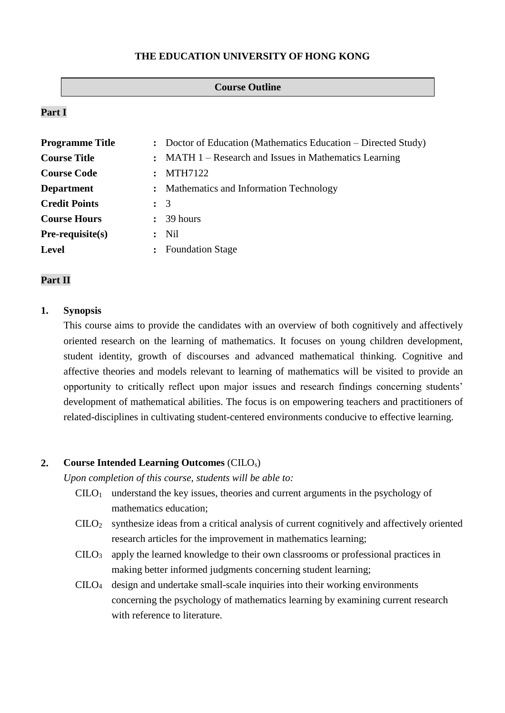#### **THE EDUCATION UNIVERSITY OF HONG KONG**

#### **Course Outline**

## **Part I**

| <b>Programme Title</b> |                      | : Doctor of Education (Mathematics Education – Directed Study) |  |
|------------------------|----------------------|----------------------------------------------------------------|--|
| <b>Course Title</b>    |                      | : MATH 1 – Research and Issues in Mathematics Learning         |  |
| <b>Course Code</b>     |                      | <b>MTH7122</b>                                                 |  |
| <b>Department</b>      |                      | : Mathematics and Information Technology                       |  |
| <b>Credit Points</b>   | $\colon$ 3           |                                                                |  |
| <b>Course Hours</b>    | $\mathbf{r}$         | 39 hours                                                       |  |
| $Pre-requisite(s)$     | $\ddot{\phantom{a}}$ | Nil                                                            |  |
| <b>Level</b>           |                      | <b>Foundation Stage</b>                                        |  |

#### **Part II**

#### **1. Synopsis**

This course aims to provide the candidates with an overview of both cognitively and affectively oriented research on the learning of mathematics. It focuses on young children development, student identity, growth of discourses and advanced mathematical thinking. Cognitive and affective theories and models relevant to learning of mathematics will be visited to provide an opportunity to critically reflect upon major issues and research findings concerning students' development of mathematical abilities. The focus is on empowering teachers and practitioners of related-disciplines in cultivating student-centered environments conducive to effective learning.

### **2. Course Intended Learning Outcomes** (CILOs)

*Upon completion of this course, students will be able to:*

- $CLLO<sub>1</sub>$  understand the key issues, theories and current arguments in the psychology of mathematics education;
- $C I L O<sub>2</sub>$  synthesize ideas from a critical analysis of current cognitively and affectively oriented research articles for the improvement in mathematics learning;
- $C I L O<sub>3</sub>$  apply the learned knowledge to their own classrooms or professional practices in making better informed judgments concerning student learning;
- $CIIO<sub>4</sub>$  design and undertake small-scale inquiries into their working environments concerning the psychology of mathematics learning by examining current research with reference to literature.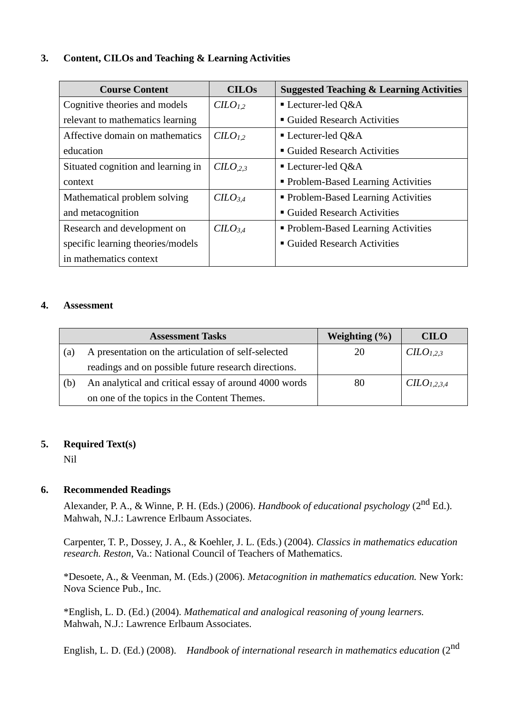# **3. Content, CILOs and Teaching & Learning Activities**

| <b>Course Content</b>              | <b>CILOS</b>                    | <b>Suggested Teaching &amp; Learning Activities</b> |  |
|------------------------------------|---------------------------------|-----------------------------------------------------|--|
| Cognitive theories and models      | CILO <sub>1.2</sub>             | $\blacksquare$ Lecturer-led Q&A                     |  |
| relevant to mathematics learning   |                                 | ■ Guided Research Activities                        |  |
| Affective domain on mathematics    | C <sub>L</sub> O <sub>L</sub> 2 | $\blacksquare$ Lecturer-led Q&A                     |  |
| education                          |                                 | ■ Guided Research Activities                        |  |
| Situated cognition and learning in | $CILO_{,2,3}$                   | $\blacksquare$ Lecturer-led Q&A                     |  |
| context                            |                                 | • Problem-Based Learning Activities                 |  |
| Mathematical problem solving       | $C$                             | • Problem-Based Learning Activities                 |  |
| and metacognition                  |                                 | ■ Guided Research Activities                        |  |
| Research and development on        | $C$                             | • Problem-Based Learning Activities                 |  |
| specific learning theories/models  |                                 | ■ Guided Research Activities                        |  |
| in mathematics context             |                                 |                                                     |  |

### **4. Assessment**

|     | <b>Assessment Tasks</b>                               | Weighting $(\% )$ | <b>CILO</b>             |
|-----|-------------------------------------------------------|-------------------|-------------------------|
| (a) | A presentation on the articulation of self-selected   | 20                | CILO <sub>1,2,3</sub>   |
|     | readings and on possible future research directions.  |                   |                         |
| (b) | An analytical and critical essay of around 4000 words | 80                | CILO <sub>1,2,3,4</sub> |
|     | on one of the topics in the Content Themes.           |                   |                         |

# **5. Required Text(s)**

Nil

# **6. Recommended Readings**

Alexander, P. A., & Winne, P. H. (Eds.) (2006). *Handbook of educational psychology* (2<sup>nd</sup> Ed.). Mahwah, N.J.: Lawrence Erlbaum Associates.

Carpenter, T. P., Dossey, J. A., & Koehler, J. L. (Eds.) (2004). *Classics in mathematics education research. Reston*, Va.: National Council of Teachers of Mathematics.

\*Desoete, A., & Veenman, M. (Eds.) (2006). *Metacognition in mathematics education.* New York: Nova Science Pub., Inc.

\*English, L. D. (Ed.) (2004). *Mathematical and analogical reasoning of young learners.* Mahwah, N.J.: Lawrence Erlbaum Associates.

English, L. D. (Ed.) (2008). *Handbook of international research in mathematics education* (2nd